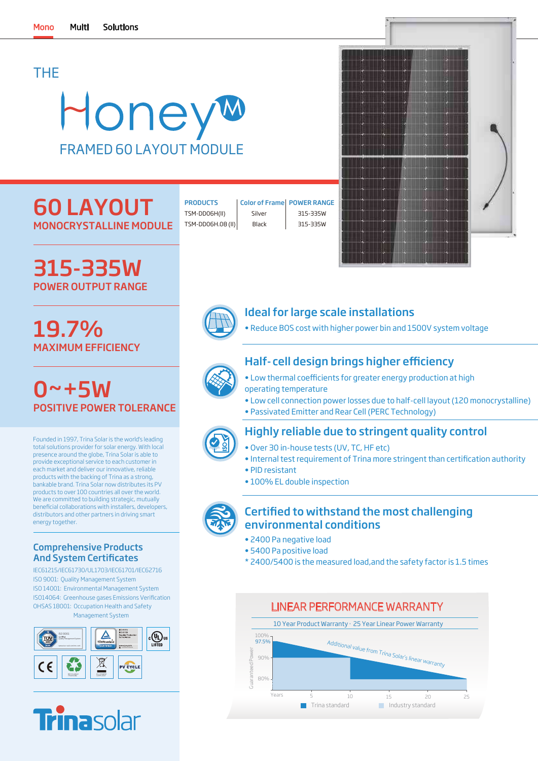# THE

# Honeyw FRAMED 60 LAYOUT MODULE

# 60 LAYOUT MONOCRYSTALL

315-335W

POWER OUTPUT RANGE

19.7%

| INE MODULE | TSM-DD06H |
|------------|-----------|
|            |           |

TSM-DD06H(II) | Silver | 315-335W PRODUCTS | Color of Frame | POWER RANGE Color of Frame Silver

TSM-DD06H.08 (II) Black 315-335W





# Ideal for large scale installations

• Reduce BOS cost with higher power bin and 1500V system voltage

# Half- cell design brings higher efficiency

- Low thermal coefficients for greater energy production at high operating temperature
- Low cell connection power losses due to half-cell layout (120 monocrystalline)
- Passivated Emitter and Rear Cell (PERC Technology)



# Highly reliable due to stringent quality control

- Over 30 in-house tests (UV, TC, HF etc)
- Internal test requirement of Trina more stringent than certification authority
- PID resistant
- 100% EL double inspection



## Certified to withstand the most challenging environmental conditions

- 2400 Pa negative load
- 5400 Pa positive load
- \* 2400/5400 is the measured load,and the safety factor is 1.5 times



MAXIMUM EFFICIENCY  $0 - +5W$ POSITIVE POWER TOLERANCE

Founded in 1997, Trina Solar is the world's leading total solutions provider for solar energy. With local presence around the globe, Trina Solar is able to provide exceptional service to each customer in each market and deliver our innovative, reliable products with the backing of Trina as a strong, bankable brand. Trina Solar now distributes its PV products to over 100 countries all over the world. We are committed to building strategic, mutually beneficial collaborations with installers, developers, distributors and other partners in driving smart energy together.

### Comprehensive Products And System Certificates

IEC61215/IEC61730/UL1703/IEC61701/IEC62716 ISO 9001: Quality Management System ISO 14001: Environmental Management System ISO14064: Greenhouse gases Emissions Verification OHSAS 18001: Occupation Health and Safety Management System